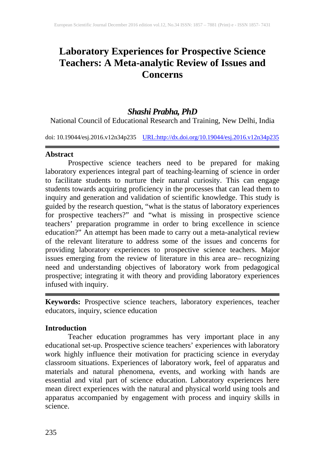# **Laboratory Experiences for Prospective Science Teachers: A Meta-analytic Review of Issues and Concerns**

## *Shashi Prabha, PhD*

National Council of Educational Research and Training, New Delhi, India

doi: 10.19044/esj.2016.v12n34p235 [URL:http://dx.doi.org/10.19044/esj.2016.v12n34p235](http://dx.doi.org/10.19044/esj.2016.v12n34p235)

#### **Abstract**

Prospective science teachers need to be prepared for making laboratory experiences integral part of teaching-learning of science in order to facilitate students to nurture their natural curiosity. This can engage students towards acquiring proficiency in the processes that can lead them to inquiry and generation and validation of scientific knowledge. This study is guided by the research question, "what is the status of laboratory experiences for prospective teachers?" and "what is missing in prospective science teachers' preparation programme in order to bring excellence in science education?" An attempt has been made to carry out a meta-analytical review of the relevant literature to address some of the issues and concerns for providing laboratory experiences to prospective science teachers. Major issues emerging from the review of literature in this area are– recognizing need and understanding objectives of laboratory work from pedagogical prospective; integrating it with theory and providing laboratory experiences infused with inquiry.

**Keywords:** Prospective science teachers, laboratory experiences, teacher educators, inquiry, science education

#### **Introduction**

Teacher education programmes has very important place in any educational set-up. Prospective science teachers' experiences with laboratory work highly influence their motivation for practicing science in everyday classroom situations. Experiences of laboratory work, feel of apparatus and materials and natural phenomena, events, and working with hands are essential and vital part of science education. Laboratory experiences here mean direct experiences with the natural and physical world using tools and apparatus accompanied by engagement with process and inquiry skills in science.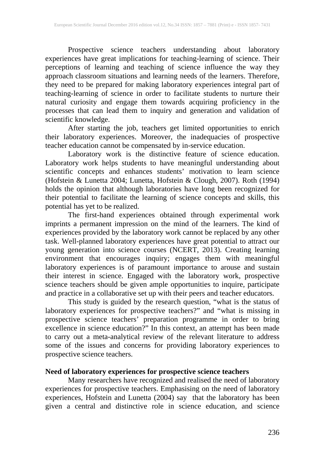Prospective science teachers understanding about laboratory experiences have great implications for teaching-learning of science. Their perceptions of learning and teaching of science influence the way they approach classroom situations and learning needs of the learners. Therefore, they need to be prepared for making laboratory experiences integral part of teaching-learning of science in order to facilitate students to nurture their natural curiosity and engage them towards acquiring proficiency in the processes that can lead them to inquiry and generation and validation of scientific knowledge.

After starting the job, teachers get limited opportunities to enrich their laboratory experiences. Moreover, the inadequacies of prospective teacher education cannot be compensated by in-service education.

Laboratory work is the distinctive feature of science education. Laboratory work helps students to have meaningful understanding about scientific concepts and enhances students' motivation to learn science (Hofstein & Lunetta 2004; Lunetta, Hofstein & Clough, 2007). Roth (1994) holds the opinion that although laboratories have long been recognized for their potential to facilitate the learning of science concepts and skills, this potential has yet to be realized.

The first-hand experiences obtained through experimental work imprints a permanent impression on the mind of the learners. The kind of experiences provided by the laboratory work cannot be replaced by any other task. Well-planned laboratory experiences have great potential to attract our young generation into science courses (NCERT, 2013). Creating learning environment that encourages inquiry; engages them with meaningful laboratory experiences is of paramount importance to arouse and sustain their interest in science. Engaged with the laboratory work, prospective science teachers should be given ample opportunities to inquire, participate and practice in a collaborative set up with their peers and teacher educators.

This study is guided by the research question, "what is the status of laboratory experiences for prospective teachers?" and "what is missing in prospective science teachers' preparation programme in order to bring excellence in science education?" In this context, an attempt has been made to carry out a meta-analytical review of the relevant literature to address some of the issues and concerns for providing laboratory experiences to prospective science teachers.

#### **Need of laboratory experiences for prospective science teachers**

Many researchers have recognized and realised the need of laboratory experiences for prospective teachers. Emphasising on the need of laboratory experiences, Hofstein and Lunetta (2004) say that the laboratory has been given a central and distinctive role in science education, and science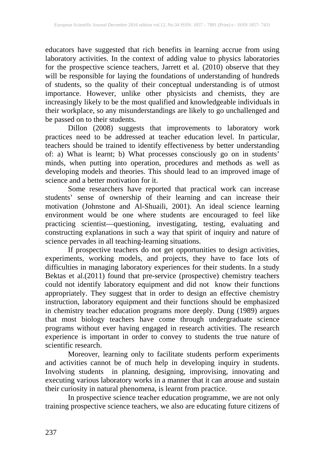educators have suggested that rich benefits in learning accrue from using laboratory activities. In the context of adding value to physics laboratories for the prospective science teachers, Jarrett et al. (2010) observe that they will be responsible for laying the foundations of understanding of hundreds of students, so the quality of their conceptual understanding is of utmost importance. However, unlike other physicists and chemists, they are increasingly likely to be the most qualified and knowledgeable individuals in their workplace, so any misunderstandings are likely to go unchallenged and be passed on to their students.

Dillon (2008) suggests that improvements to laboratory work practices need to be addressed at teacher education level. In particular, teachers should be trained to identify effectiveness by better understanding of: a) What is learnt; b) What processes consciously go on in students' minds, when putting into operation, procedures and methods as well as developing models and theories. This should lead to an improved image of science and a better motivation for it.

Some researchers have reported that practical work can increase students' sense of ownership of their learning and can increase their motivation (Johnstone and Al-Shuaili, 2001). An ideal science learning environment would be one where students are encouraged to feel like practicing scientist—questioning, investigating, testing, evaluating and constructing explanations in such a way that spirit of inquiry and nature of science pervades in all teaching-learning situations.

If prospective teachers do not get opportunities to design activities, experiments, working models, and projects, they have to face lots of difficulties in managing laboratory experiences for their students. In a study Bektas et al.(2011) found that pre-service (prospective) chemistry teachers could not identify laboratory equipment and did not know their functions appropriately. They suggest that in order to design an effective chemistry instruction, laboratory equipment and their functions should be emphasized in chemistry teacher education programs more deeply. Dung (1989) argues that most biology teachers have come through undergraduate science programs without ever having engaged in research activities. The research experience is important in order to convey to students the true nature of experience is important in order to convey to students the true nature of scientific research.

Moreover, learning only to facilitate students perform experiments and activities cannot be of much help in developing inquiry in students. Involving students in planning, designing, improvising, innovating and executing various laboratory works in a manner that it can arouse and sustain their curiosity in natural phenomena, is learnt from practice.

In prospective science teacher education programme, we are not only training prospective science teachers, we also are educating future citizens of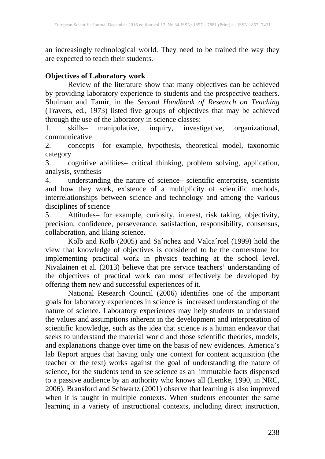an increasingly technological world. They need to be trained the way they are expected to teach their students.

### **Objectives of Laboratory work**

Review of the literature show that many objectives can be achieved by providing laboratory experience to students and the prospective teachers. Shulman and Tamir, in the *Second Handbook of Research on Teaching*  (Travers, ed., 1973) listed five groups of objectives that may be achieved through the use of the laboratory in science classes:

1. skills– manipulative, inquiry, investigative, organizational, communicative

2. concepts– for example, hypothesis, theoretical model, taxonomic category

3. cognitive abilities– critical thinking, problem solving, application, analysis, synthesis

4. understanding the nature of science– scientific enterprise, scientists and how they work, existence of a multiplicity of scientific methods, interrelationships between science and technology and among the various disciplines of science

5. Attitudes– for example, curiosity, interest, risk taking, objectivity, precision, confidence, perseverance, satisfaction, responsibility, consensus, collaboration, and liking science.

Kolb and Kolb (2005) and Sa´nchez and Valca´rcel (1999) hold the view that knowledge of objectives is considered to be the cornerstone for implementing practical work in physics teaching at the school level. Nivalainen et al. (2013) believe that pre service teachers' understanding of the objectives of practical work can most effectively be developed by offering them new and successful experiences of it.

National Research Council (2006) identifies one of the important goals for laboratory experiences in science is increased understanding of the nature of science. Laboratory experiences may help students to understand the values and assumptions inherent in the development and interpretation of scientific knowledge, such as the idea that science is a human endeavor that seeks to understand the material world and those scientific theories, models, and explanations change over time on the basis of new evidences. America's lab Report argues that having only one context for content acquisition (the teacher or the text) works against the goal of understanding the nature of science, for the students tend to see science as an immutable facts dispensed to a passive audience by an authority who knows all (Lemke, 1990, in NRC, 2006). Bransford and Schwartz (2001) observe that learning is also improved when it is taught in multiple contexts. When students encounter the same learning in a variety of instructional contexts, including direct instruction,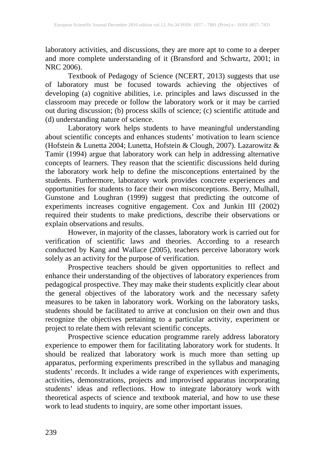laboratory activities, and discussions, they are more apt to come to a deeper and more complete understanding of it (Bransford and Schwartz, 2001; in NRC 2006).

Textbook of Pedagogy of Science (NCERT, 2013) suggests that use of laboratory must be focused towards achieving the objectives of developing (a) cognitive abilities, i.e. principles and laws discussed in the classroom may precede or follow the laboratory work or it may be carried out during discussion; (b) process skills of science; (c) scientific attitude and (d) understanding nature of science.

Laboratory work helps students to have meaningful understanding about scientific concepts and enhances students' motivation to learn science (Hofstein & Lunetta 2004; Lunetta, Hofstein & Clough, 2007). Lazarowitz & Tamir (1994) argue that laboratory work can help in addressing alternative concepts of learners. They reason that the scientific discussions held during the laboratory work help to define the misconceptions entertained by the students. Furthermore, laboratory work provides concrete experiences and opportunities for students to face their own misconceptions. Berry, Mulhall, Gunstone and Loughran (1999) suggest that predicting the outcome of experiments increases cognitive engagement. Cox and Junkin III (2002) required their students to make predictions, describe their observations or explain observations and results.

However, in majority of the classes, laboratory work is carried out for verification of scientific laws and theories. According to a research conducted by Kang and Wallace (2005), teachers perceive laboratory work solely as an activity for the purpose of verification.

Prospective teachers should be given opportunities to reflect and enhance their understanding of the objectives of laboratory experiences from pedagogical prospective. They may make their students explicitly clear about the general objectives of the laboratory work and the necessary safety measures to be taken in laboratory work. Working on the laboratory tasks, students should be facilitated to arrive at conclusion on their own and thus recognize the objectives pertaining to a particular activity, experiment or project to relate them with relevant scientific concepts.

Prospective science education programme rarely address laboratory experience to empower them for facilitating laboratory work for students. It should be realized that laboratory work is much more than setting up apparatus, performing experiments prescribed in the syllabus and managing students' records. It includes a wide range of experiences with experiments, activities, demonstrations, projects and improvised apparatus incorporating students' ideas and reflections. How to integrate laboratory work with theoretical aspects of science and textbook material, and how to use these work to lead students to inquiry, are some other important issues.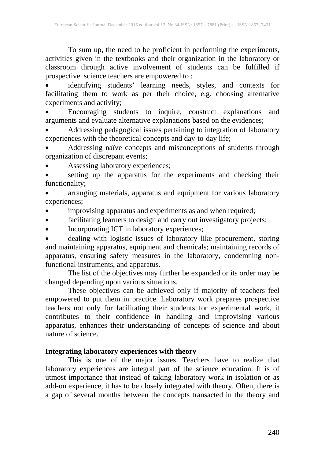To sum up, the need to be proficient in performing the experiments, activities given in the textbooks and their organization in the laboratory or classroom through active involvement of students can be fulfilled if prospective science teachers are empowered to :

• identifying students' learning needs, styles, and contexts for facilitating them to work as per their choice, e.g. choosing alternative experiments and activity;

• Encouraging students to inquire, construct explanations and arguments and evaluate alternative explanations based on the evidences;

• Addressing pedagogical issues pertaining to integration of laboratory experiences with the theoretical concepts and day-to-day life;

• Addressing naïve concepts and misconceptions of students through organization of discrepant events;

• Assessing laboratory experiences;

• setting up the apparatus for the experiments and checking their functionality;

arranging materials, apparatus and equipment for various laboratory experiences;

- improvising apparatus and experiments as and when required;
- facilitating learners to design and carry out investigatory projects;
- Incorporating ICT in laboratory experiences;

• dealing with logistic issues of laboratory like procurement, storing and maintaining apparatus, equipment and chemicals; maintaining records of apparatus, ensuring safety measures in the laboratory, condemning nonfunctional instruments, and apparatus.

The list of the objectives may further be expanded or its order may be changed depending upon various situations.

These objectives can be achieved only if majority of teachers feel empowered to put them in practice. Laboratory work prepares prospective teachers not only for facilitating their students for experimental work, it contributes to their confidence in handling and improvising various apparatus, enhances their understanding of concepts of science and about nature of science.

#### **Integrating laboratory experiences with theory**

This is one of the major issues. Teachers have to realize that laboratory experiences are integral part of the science education. It is of utmost importance that instead of taking laboratory work in isolation or as add-on experience, it has to be closely integrated with theory. Often, there is a gap of several months between the concepts transacted in the theory and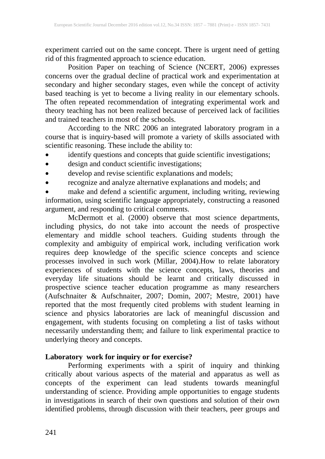experiment carried out on the same concept. There is urgent need of getting rid of this fragmented approach to science education.

Position Paper on teaching of Science (NCERT, 2006) expresses concerns over the gradual decline of practical work and experimentation at secondary and higher secondary stages, even while the concept of activity based teaching is yet to become a living reality in our elementary schools. The often repeated recommendation of integrating experimental work and theory teaching has not been realized because of perceived lack of facilities and trained teachers in most of the schools.

According to the NRC 2006 an integrated laboratory program in a course that is inquiry-based will promote a variety of skills associated with scientific reasoning. These include the ability to:

- identify questions and concepts that guide scientific investigations;
- $\bullet$  design and conduct scientific investigations;
- develop and revise scientific explanations and models;
- recognize and analyze alternative explanations and models; and

• make and defend a scientific argument, including writing, reviewing information, using scientific language appropriately, constructing a reasoned argument, and responding to critical comments.

McDermott et al. (2000) observe that most science departments, including physics, do not take into account the needs of prospective elementary and middle school teachers. Guiding students through the complexity and ambiguity of empirical work, including verification work requires deep knowledge of the specific science concepts and science processes involved in such work (Millar, 2004).How to relate laboratory experiences of students with the science concepts, laws, theories and everyday life situations should be learnt and critically discussed in prospective science teacher education programme as many researchers (Aufschnaiter & Aufschnaiter, 2007; Domin, 2007; Mestre, 2001) have reported that the most frequently cited problems with student learning in science and physics laboratories are lack of meaningful discussion and engagement, with students focusing on completing a list of tasks without necessarily understanding them; and failure to link experimental practice to underlying theory and concepts.

#### **Laboratory work for inquiry or for exercise?**

Performing experiments with a spirit of inquiry and thinking critically about various aspects of the material and apparatus as well as concepts of the experiment can lead students towards meaningful understanding of science. Providing ample opportunities to engage students in investigations in search of their own questions and solution of their own identified problems, through discussion with their teachers, peer groups and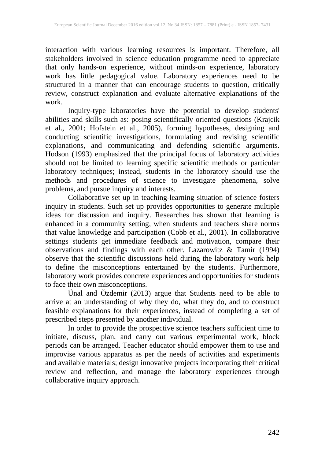interaction with various learning resources is important. Therefore, all stakeholders involved in science education programme need to appreciate that only hands-on experience, without minds-on experience, laboratory work has little pedagogical value. Laboratory experiences need to be structured in a manner that can encourage students to question, critically review, construct explanation and evaluate alternative explanations of the work.

Inquiry-type laboratories have the potential to develop students' abilities and skills such as: posing scientifically oriented questions (Krajcik et al., 2001; Hofstein et al., 2005), forming hypotheses, designing and conducting scientific investigations, formulating and revising scientific explanations, and communicating and defending scientific arguments. Hodson (1993) emphasized that the principal focus of laboratory activities should not be limited to learning specific scientific methods or particular laboratory techniques; instead, students in the laboratory should use the methods and procedures of science to investigate phenomena, solve problems, and pursue inquiry and interests.

Collaborative set up in teaching-learning situation of science fosters inquiry in students. Such set up provides opportunities to generate multiple ideas for discussion and inquiry. Researches has shown that learning is enhanced in a community setting, when students and teachers share norms that value knowledge and participation (Cobb et al., 2001). In collaborative settings students get immediate feedback and motivation, compare their observations and findings with each other. Lazarowitz & Tamir (1994) observe that the scientific discussions held during the laboratory work help to define the misconceptions entertained by the students. Furthermore, laboratory work provides concrete experiences and opportunities for students to face their own misconceptions.

Ünal and Özdemir (2013) argue that Students need to be able to arrive at an understanding of why they do, what they do, and to construct feasible explanations for their experiences, instead of completing a set of prescribed steps presented by another individual.

In order to provide the prospective science teachers sufficient time to initiate, discuss, plan, and carry out various experimental work, block periods can be arranged. Teacher educator should empower them to use and improvise various apparatus as per the needs of activities and experiments and available materials; design innovative projects incorporating their critical review and reflection, and manage the laboratory experiences through collaborative inquiry approach.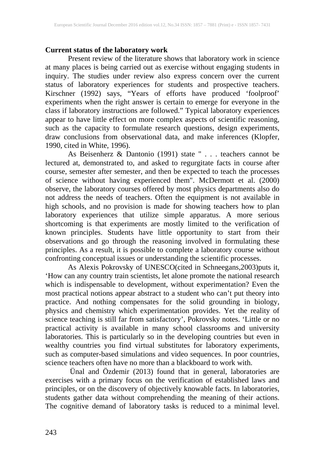#### **Current status of the laboratory work**

Present review of the literature shows that laboratory work in science at many places is being carried out as exercise without engaging students in inquiry. The studies under review also express concern over the current status of laboratory experiences for students and prospective teachers. Kirschner (1992) says, "Years of efforts have produced 'foolproof' experiments when the right answer is certain to emerge for everyone in the class if laboratory instructions are followed." Typical laboratory experiences appear to have little effect on more complex aspects of scientific reasoning, such as the capacity to formulate research questions, design experiments, draw conclusions from observational data, and make inferences (Klopfer, 1990, cited in White, 1996).

As Beisenherz & Dantonio (1991) state " . . . teachers cannot be lectured at, demonstrated to, and asked to regurgitate facts in course after course, semester after semester, and then be expected to teach the processes of science without having experienced them". McDermott et al. (2000) observe, the laboratory courses offered by most physics departments also do not address the needs of teachers. Often the equipment is not available in high schools, and no provision is made for showing teachers how to plan laboratory experiences that utilize simple apparatus. A more serious shortcoming is that experiments are mostly limited to the verification of known principles. Students have little opportunity to start from their observations and go through the reasoning involved in formulating these principles. As a result, it is possible to complete a laboratory course without confronting conceptual issues or understanding the scientific processes.

As Alexis Pokrovsky of UNESCO(cited in Schneegans,2003)puts it, 'How can any country train scientists, let alone promote the national research which is indispensable to development, without experimentation? Even the most practical notions appear abstract to a student who can't put theory into practice. And nothing compensates for the solid grounding in biology, physics and chemistry which experimentation provides. Yet the reality of science teaching is still far from satisfactory', Pokrovsky notes. 'Little or no practical activity is available in many school classrooms and university laboratories. This is particularly so in the developing countries but even in wealthy countries you find virtual substitutes for laboratory experiments, such as computer-based simulations and video sequences. In poor countries, science teachers often have no more than a blackboard to work with.

Ünal and Özdemir (2013) found that in general, laboratories are exercises with a primary focus on the verification of established laws and principles, or on the discovery of objectively knowable facts. In laboratories, students gather data without comprehending the meaning of their actions. The cognitive demand of laboratory tasks is reduced to a minimal level.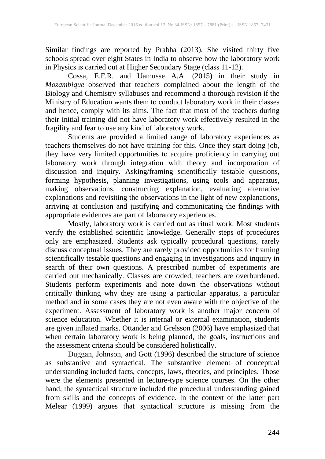Similar findings are reported by Prabha (2013). She visited thirty five schools spread over eight States in India to observe how the laboratory work in Physics is carried out at Higher Secondary Stage (class 11-12).

Cossa, E.F.R. and Uamusse A.A. (2015) in their study in *Mozambique* observed that teachers complained about the length of the Biology and Chemistry syllabuses and recommend a thorough revision if the Ministry of Education wants them to conduct laboratory work in their classes and hence, comply with its aims. The fact that most of the teachers during their initial training did not have laboratory work effectively resulted in the fragility and fear to use any kind of laboratory work.

Students are provided a limited range of laboratory experiences as teachers themselves do not have training for this. Once they start doing job, they have very limited opportunities to acquire proficiency in carrying out laboratory work through integration with theory and incorporation of discussion and inquiry. Asking/framing scientifically testable questions, forming hypothesis, planning investigations, using tools and apparatus, making observations, constructing explanation, evaluating alternative explanations and revisiting the observations in the light of new explanations, arriving at conclusion and justifying and communicating the findings with appropriate evidences are part of laboratory experiences.

Mostly, laboratory work is carried out as ritual work. Most students verify the established scientific knowledge. Generally steps of procedures only are emphasized. Students ask typically procedural questions, rarely discuss conceptual issues. They are rarely provided opportunities for framing scientifically testable questions and engaging in investigations and inquiry in search of their own questions. A prescribed number of experiments are carried out mechanically. Classes are crowded, teachers are overburdened. Students perform experiments and note down the observations without critically thinking why they are using a particular apparatus, a particular method and in some cases they are not even aware with the objective of the experiment. Assessment of laboratory work is another major concern of science education. Whether it is internal or external examination, students are given inflated marks. Ottander and Grelsson (2006) have emphasized that when certain laboratory work is being planned, the goals, instructions and the assessment criteria should be considered holistically.

Duggan, Johnson, and Gott (1996) described the structure of science as substantive and syntactical. The substantive element of conceptual understanding included facts, concepts, laws, theories, and principles. Those were the elements presented in lecture-type science courses. On the other hand, the syntactical structure included the procedural understanding gained from skills and the concepts of evidence. In the context of the latter part Melear (1999) argues that syntactical structure is missing from the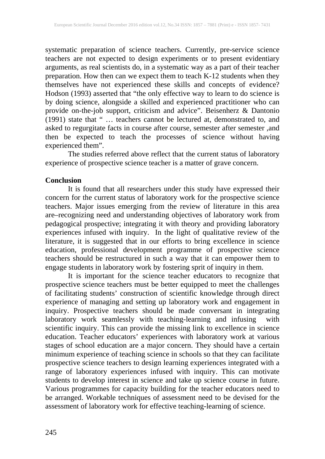systematic preparation of science teachers. Currently, pre-service science teachers are not expected to design experiments or to present evidentiary arguments, as real scientists do, in a systematic way as a part of their teacher preparation. How then can we expect them to teach K-12 students when they themselves have not experienced these skills and concepts of evidence? Hodson (1993) asserted that "the only effective way to learn to do science is by doing science, alongside a skilled and experienced practitioner who can provide on-the-job support, criticism and advice". Beisenherz & Dantonio (1991) state that " … teachers cannot be lectured at, demonstrated to, and asked to regurgitate facts in course after course, semester after semester ,and then be expected to teach the processes of science without having experienced them".

The studies referred above reflect that the current status of laboratory experience of prospective science teacher is a matter of grave concern.

#### **Conclusion**

It is found that all researchers under this study have expressed their concern for the current status of laboratory work for the prospective science teachers. Major issues emerging from the review of literature in this area are–recognizing need and understanding objectives of laboratory work from pedagogical prospective; integrating it with theory and providing laboratory experiences infused with inquiry. In the light of qualitative review of the literature, it is suggested that in our efforts to bring excellence in science education, professional development programme of prospective science teachers should be restructured in such a way that it can empower them to engage students in laboratory work by fostering sprit of inquiry in them.

It is important for the science teacher educators to recognize that prospective science teachers must be better equipped to meet the challenges of facilitating students' construction of scientific knowledge through direct experience of managing and setting up laboratory work and engagement in inquiry. Prospective teachers should be made conversant in integrating laboratory work seamlessly with teaching-learning and infusing with scientific inquiry. This can provide the missing link to excellence in science education. Teacher educators' experiences with laboratory work at various stages of school education are a major concern. They should have a certain minimum experience of teaching science in schools so that they can facilitate prospective science teachers to design learning experiences integrated with a range of laboratory experiences infused with inquiry. This can motivate students to develop interest in science and take up science course in future. Various programmes for capacity building for the teacher educators need to be arranged. Workable techniques of assessment need to be devised for the assessment of laboratory work for effective teaching-learning of science.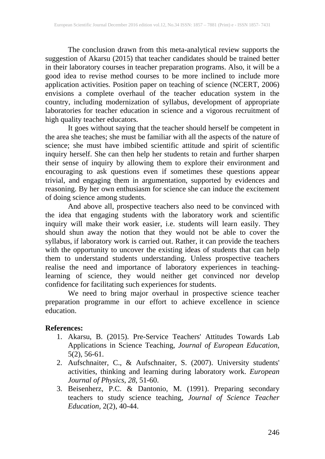The conclusion drawn from this meta-analytical review supports the suggestion of Akarsu (2015) that teacher candidates should be trained better in their laboratory courses in teacher preparation programs. Also, it will be a good idea to revise method courses to be more inclined to include more application activities. Position paper on teaching of science (NCERT, 2006) envisions a complete overhaul of the teacher education system in the country, including modernization of syllabus, development of appropriate laboratories for teacher education in science and a vigorous recruitment of high quality teacher educators.

It goes without saying that the teacher should herself be competent in the area she teaches; she must be familiar with all the aspects of the nature of science; she must have imbibed scientific attitude and spirit of scientific inquiry herself. She can then help her students to retain and further sharpen their sense of inquiry by allowing them to explore their environment and encouraging to ask questions even if sometimes these questions appear trivial, and engaging them in argumentation, supported by evidences and reasoning. By her own enthusiasm for science she can induce the excitement of doing science among students.

And above all, prospective teachers also need to be convinced with the idea that engaging students with the laboratory work and scientific inquiry will make their work easier, i.e. students will learn easily. They should shun away the notion that they would not be able to cover the syllabus, if laboratory work is carried out. Rather, it can provide the teachers with the opportunity to uncover the existing ideas of students that can help them to understand students understanding. Unless prospective teachers realise the need and importance of laboratory experiences in teachinglearning of science, they would neither get convinced nor develop confidence for facilitating such experiences for students.

We need to bring major overhaul in prospective science teacher preparation programme in our effort to achieve excellence in science education.

#### **References:**

- 1. Akarsu, B. (2015). Pre-Service Teachers' Attitudes Towards Lab Applications in Science Teaching, *Journal of European Education*, 5(2), 56-61.
- 2. Aufschnaiter, C., & Aufschnaiter, S. (2007). University students' activities, thinking and learning during laboratory work. *European Journal of Physics*, *28*, 51-60.
- 3. Beisenherz, P.C. & Dantonio, M. (1991). Preparing secondary teachers to study science teaching, *Journal of Science Teacher Education,* 2(2), 40-44.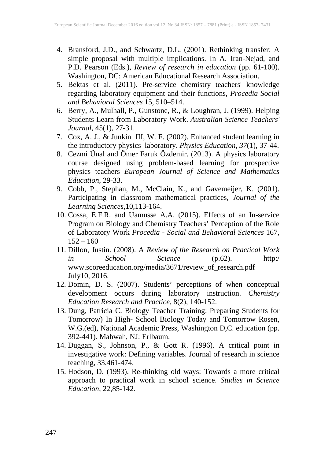- 4. Bransford, J.D., and Schwartz, D.L. (2001). Rethinking transfer: A simple proposal with multiple implications. In A. Iran-Nejad, and P.D. Pearson (Eds.), *Review of research in education* (pp. 61-100). Washington, DC: American Educational Research Association.
- 5. Bektas et al. (2011). Pre-service chemistry teachers' knowledge regarding laboratory equipment and their functions, *Procedia Social and Behavioral Sciences* 15, 510–514.
- 6. Berry, A., Mulhall, P., Gunstone, R., & Loughran, J. (1999). Helping Students Learn from Laboratory Work. *Australian Science Teachers' Journal*, 45(1), 27-31.
- 7. Cox, A. J., & Junkin III, W. F. (2002). Enhanced student learning in the introductory physics laboratory. *Physics Education*, *37*(1), 37-44.
- 8. Cezmi Ünal and Ömer Faruk Özdemir. (2013). A physics laboratory course designed using problem-based learning for prospective physics teachers *European Journal of Science and Mathematics Education,* 29-33.
- 9. Cobb, P., Stephan, M., McClain, K., and Gavemeijer, K. (2001). Participating in classroom mathematical practices, *Journal of the Learning Sciences*,10,113-164.
- 10. Cossa, E.F.R. and Uamusse A.A. (2015). Effects of an In-service Program on Biology and Chemistry Teachers' Perception of the Role of Laboratory Work *Procedia - Social and Behavioral Sciences* 167,  $152 - 160$
- 11. Dillon, Justin. (2008). A *Review of the Research on Practical Work in School Science* (p.62). http:/ www.scoreeducation.org/media/3671/review\_of\_research.pdf July10, 2016.
- 12. Domin, D. S. (2007). Students' perceptions of when conceptual development occurs during laboratory instruction. *Chemistry Education Research and Practice*, 8(2), 140-152.
- 13. Dung, Patricia C. Biology Teacher Training: Preparing Students for Tomorrow) In High- School Biology Today and Tomorrow Rosen, W.G.(ed), National Academic Press, Washington D,C. education (pp. 392-441). Mahwah, NJ: Erlbaum.
- 14. Duggan, S., Johnson, P., & Gott R. (1996). A critical point in investigative work: Defining variables. Journal of research in science teaching, 33,461-474.
- 15. Hodson, D. (1993). Re-thinking old ways: Towards a more critical approach to practical work in school science. *Studies in Science Education*, 22,85-142.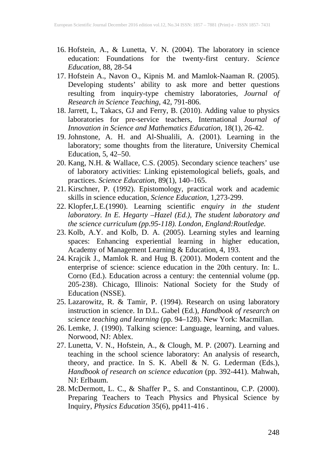- 16. Hofstein, A., & Lunetta, V. N. (2004). The laboratory in science education: Foundations for the twenty-first century. *Science Education,* 88, 28-54
- 17. Hofstein A., Navon O., Kipnis M. and Mamlok-Naaman R. (2005). Developing students' ability to ask more and better questions resulting from inquiry-type chemistry laboratories, *Journal of Research in Science Teaching*, 42, 791-806.
- 18. Jarrett, L, Takacs, GJ and Ferry, B. (2010). Adding value to physics laboratories for pre-service teachers, International *Journal of Innovation in Science and Mathematics Education*, 18(1), 26-42.
- 19. Johnstone, A. H. and Al-Shualili, A. (2001). Learning in the laboratory; some thoughts from the literature, University Chemical Education, 5, 42–50.
- 20. Kang, N.H. & Wallace, C.S. (2005). Secondary science teachers' use of laboratory activities: Linking epistemological beliefs, goals, and practices. *Science Education*, 89(1), 140–165.
- 21. Kirschner, P. (1992). Epistomology, practical work and academic skills in science education, *Science Education*, 1,273-299.
- 22. Klopfer,L.E.(1990). Learning scientific *enquiry in the student laboratory. In E. Hegarty –Hazel (Ed.), The student laboratory and the science curriculum (pp.95-118). London, England:Routledge.*
- 23. Kolb, A.Y. and Kolb, D. A. (2005). Learning styles and learning spaces: Enhancing experiential learning in higher education, Academy of Management Learning & Education, 4, 193.
- 24. Krajcik J., Mamlok R. and Hug B. (2001). Modern content and the enterprise of science: science education in the 20th century. In: L. Corno (Ed.). Education across a century: the centennial volume (pp. 205-238). Chicago, Illinois: National Society for the Study of Education (NSSE).
- 25. Lazarowitz, R. & Tamir, P. (1994). Research on using laboratory instruction in science. In D.L. Gabel (Ed.), *Handbook of research on science teaching and learning* (pp. 94–128). New York: Macmillan.
- 26. Lemke, J. (1990). Talking science: Language, learning, and values. Norwood, NJ: Ablex.
- 27. Lunetta, V. N., Hofstein, A., & Clough, M. P. (2007). Learning and teaching in the school science laboratory: An analysis of research, theory, and practice. In S. K. Abell & N. G. Lederman (Eds.), *Handbook of research on science education* (pp. 392-441). Mahwah, NJ: Erlbaum.
- 28. McDermott, L. C., & Shaffer P., S. and Constantinou, C.P. (2000). Preparing Teachers to Teach Physics and Physical Science by Inquiry, *Physics Education* 35(6), pp411-416 .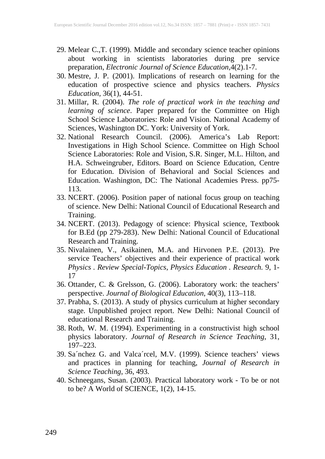- 29. Melear C.,T. (1999). Middle and secondary science teacher opinions about working in scientists laboratories during pre service preparation, *Electronic Journal of Science Education*,4(2).1-7.
- 30. Mestre, J. P. (2001). Implications of research on learning for the education of prospective science and physics teachers. *Physics Education*, 36(1), 44-51.
- 31. Millar, R. (2004). *The role of practical work in the teaching and learning of science*. Paper prepared for the Committee on High School Science Laboratories: Role and Vision. National Academy of Sciences, Washington DC. York: University of York.
- 32. National Research Council. (2006). America's Lab Report: Investigations in High School Science. Committee on High School Science Laboratories: Role and Vision, S.R. Singer, M.L. Hilton, and H.A. Schweingruber, Editors. Board on Science Education, Centre for Education. Division of Behavioral and Social Sciences and Education. Washington, DC: The National Academies Press. pp75- 113.
- 33. NCERT. (2006). Position paper of national focus group on teaching of science. New Delhi: National Council of Educational Research and Training.
- 34. NCERT. (2013). Pedagogy of science: Physical science, Textbook for B.Ed (pp 279-283). New Delhi: National Council of Educational Research and Training.
- 35. Nivalainen, V., Asikainen, M.A. and Hirvonen P.E. (2013). Pre service Teachers' objectives and their experience of practical work *Physics . Review Special-Topics, Physics Education . Research.* 9, 1- 17
- 36. Ottander, C. & Grelsson, G. (2006). Laboratory work: the teachers' perspective. *Journal of Biological Education*, 40(3), 113–118.
- 37. Prabha, S. (2013). A study of physics curriculum at higher secondary stage. Unpublished project report. New Delhi: National Council of educational Research and Training.
- 38. Roth, W. M. (1994). Experimenting in a constructivist high school physics laboratory. *Journal of Research in Science Teaching*, 31, 197–223.
- 39. Sa´nchez G. and Valca´rcel, M.V. (1999). Science teachers' views and practices in planning for teaching, *Journal of Research in Science Teaching*, 36, 493.
- 40. Schneegans, Susan. (2003). Practical laboratory work To be or not to be? A World of SCIENCE, 1(2), 14-15.